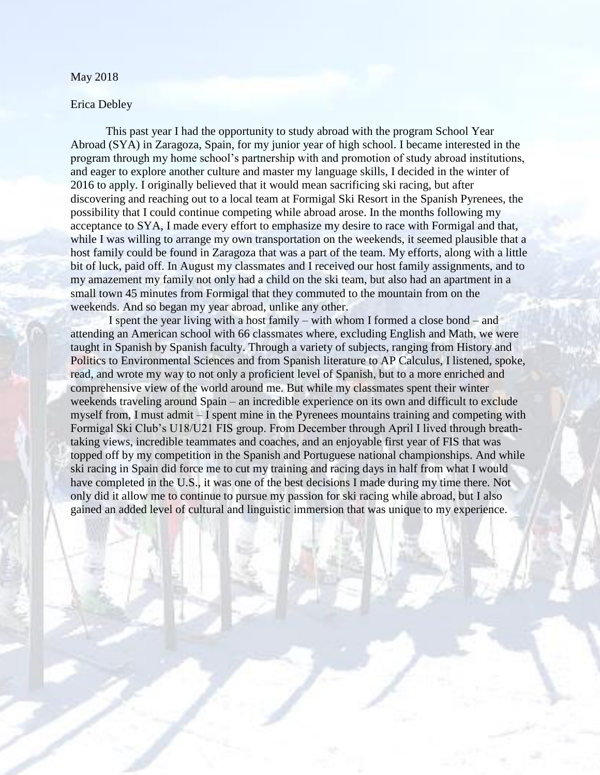## May 2018

## Erica Debley

This past year I had the opportunity to study abroad with the program School Year Abroad (SYA) in Zaragoza, Spain, for my junior year of high school. I became interested in the program through my home school's partnership with and promotion of study abroad institutions, and eager to explore another culture and master my language skills, I decided in the winter of 2016 to apply. I originally believed that it would mean sacrificing ski racing, but after discovering and reaching out to a local team at Formigal Ski Resort in the Spanish Pyrenees, the possibility that I could continue competing while abroad arose. In the months following my acceptance to SYA, I made every effort to emphasize my desire to race with Formigal and that, while I was willing to arrange my own transportation on the weekends, it seemed plausible that a host family could be found in Zaragoza that was a part of the team. My efforts, along with a little bit of luck, paid off. In August my classmates and I received our host family assignments, and to my amazement my family not only had a child on the ski team, but also had an apartment in a small town 45 minutes from Formigal that they commuted to the mountain from on the weekends. And so began my year abroad, unlike any other.

I spent the year living with a host family – with whom I formed a close bond – and attending an American school with 66 classmates where, excluding English and Math, we were taught in Spanish by Spanish faculty. Through a variety of subjects, ranging from History and Politics to Environmental Sciences and from Spanish literature to AP Calculus, I listened, spoke, read, and wrote my way to not only a proficient level of Spanish, but to a more enriched and comprehensive view of the world around me. But while my classmates spent their winter weekends traveling around Spain – an incredible experience on its own and difficult to exclude myself from, I must admit – I spent mine in the Pyrenees mountains training and competing with Formigal Ski Club's U18/U21 FIS group. From December through April I lived through breathtaking views, incredible teammates and coaches, and an enjoyable first year of FIS that was topped off by my competition in the Spanish and Portuguese national championships. And while ski racing in Spain did force me to cut my training and racing days in half from what I would have completed in the U.S., it was one of the best decisions I made during my time there. Not only did it allow me to continue to pursue my passion for ski racing while abroad, but I also gained an added level of cultural and linguistic immersion that was unique to my experience.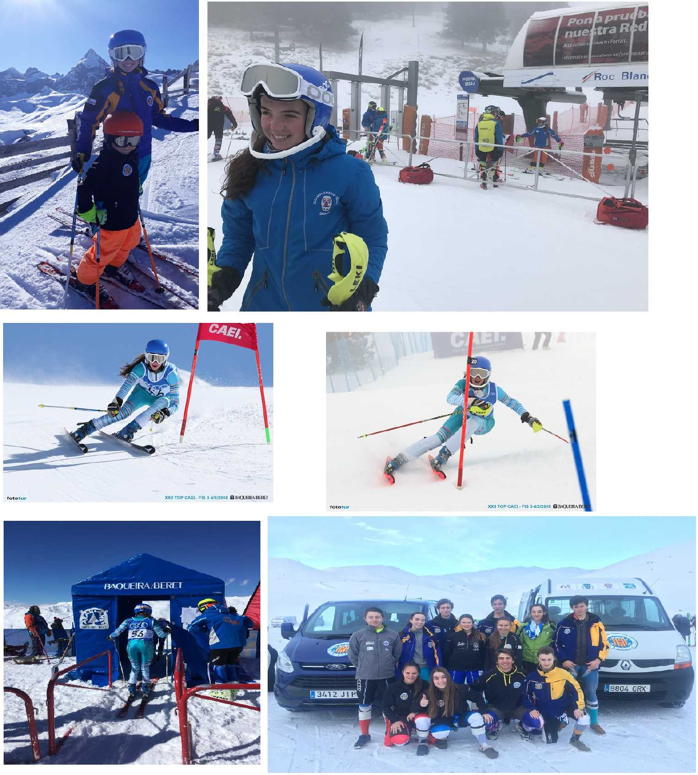





fototur

XXII TOP CAEL- FIS 3-4/3/2018 B BAQUEIRA/BEHL